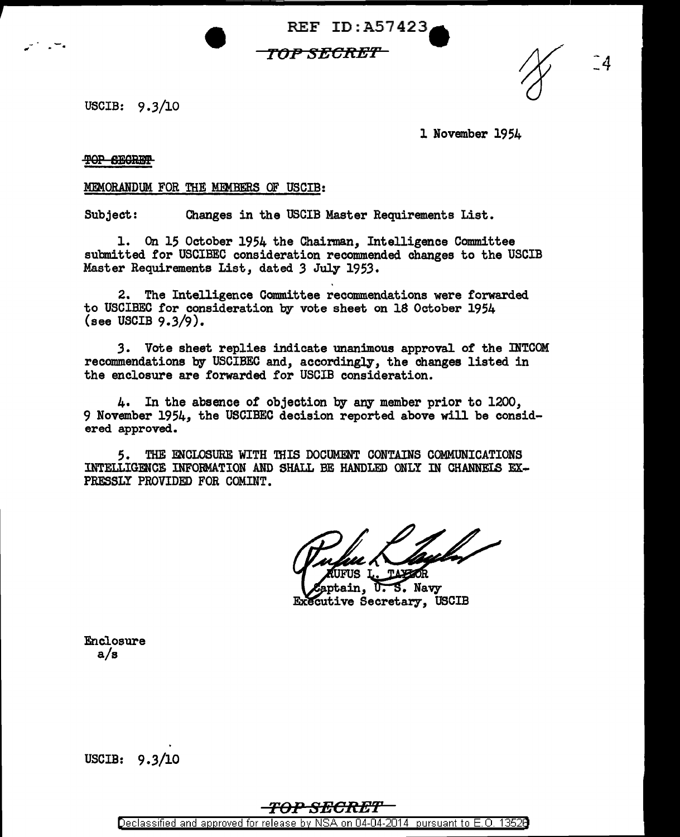$REF ID: A57423$ 

### *TOP SEC:R:EY1*

USCIB: 9.3/10

1 November 1954

 $\hat{a}$ 

#### **TOP SECRET**

#### MEMORANDUM FOR THE MEMBERS OF USCIB:

Subject: Changes in the USCIB Master Requirements List.

1. On 15 October 1954 the Chairman, Intelligence Committee submitted for USCIBEC consideration recommended changes to the USCIB Master Requirements List, dated *3* July 1953.

2. The Intelligence Committee recommendations were forwarded to USCIBEC for consideration by vote sheet on 18 October 1954 (see USCIB 9.3/9).

*3.* Vote sheet replies indicate unanimous approval of the INTCOM recommendations by USCIBEC and, accordingly, the changes listed in the enclosure are forwarded for USCIB consideration.

4. In the absence of objection by any member prior to 1200, 9 November 1954, the USCIBEC decision reported above will be considered approved.

5. THE ENCLOSURE WITH THIS DOCUMENT CON'l'AINS COMMUNICATIONS INTELLIGENCE INFORMATION AND SHALL BE HANDLED ONLY IN CHANNEIS EX-PRESSLY PROVIDED FOR COMINT.

S. Navy ain. ᡣ Executive Secretary, USCIB

Enclosure a/s

USCIB: 9.3/10

# *To-P SECR:E'I'*

Declassified and approved for release by NSA on 04-04-2014 pursuant to E. 0. 1352B